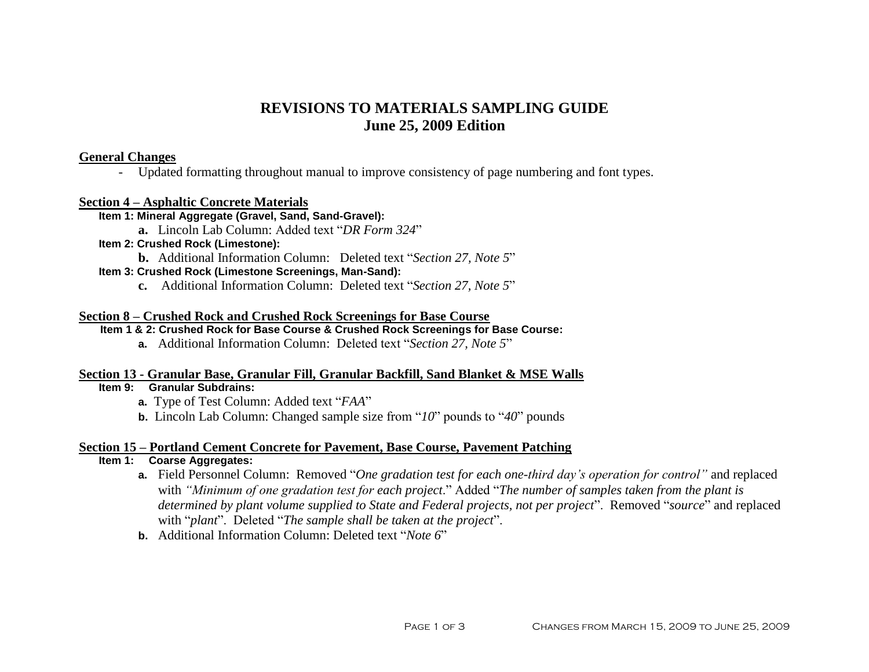# **REVISIONS TO MATERIALS SAMPLING GUIDE June 25, 2009 Edition**

## **General Changes**

- Updated formatting throughout manual to improve consistency of page numbering and font types.

### **Section 4 – Asphaltic Concrete Materials**

## **Item 1: Mineral Aggregate (Gravel, Sand, Sand-Gravel):**

**a.** Lincoln Lab Column: Added text "*DR Form 324*"

#### **Item 2: Crushed Rock (Limestone):**

**b.** Additional Information Column: Deleted text "*Section 27, Note 5*"

### **Item 3: Crushed Rock (Limestone Screenings, Man-Sand):**

**c.** Additional Information Column: Deleted text "*Section 27, Note 5*"

### **Section 8 – Crushed Rock and Crushed Rock Screenings for Base Course**

### **Item 1 & 2: Crushed Rock for Base Course & Crushed Rock Screenings for Base Course:**

**a.** Additional Information Column: Deleted text "*Section 27, Note 5*"

### **Section 13 - Granular Base, Granular Fill, Granular Backfill, Sand Blanket & MSE Walls**

## **Item 9: Granular Subdrains:**

- **a.** Type of Test Column: Added text "*FAA*"
- **b.** Lincoln Lab Column: Changed sample size from "*10*" pounds to "*40*" pounds

### **Section 15 – Portland Cement Concrete for Pavement, Base Course, Pavement Patching**

## **Item 1: Coarse Aggregates:**

- **a.** Field Personnel Column: Removed "*One gradation test for each one-third day's operation for control"* and replaced with *"Minimum of one gradation test for each project*." Added "*The number of samples taken from the plant is determined by plant volume supplied to State and Federal projects, not per project*". Removed "*source*" and replaced with "*plant*". Deleted "*The sample shall be taken at the project*".
- **b.** Additional Information Column: Deleted text "*Note 6*"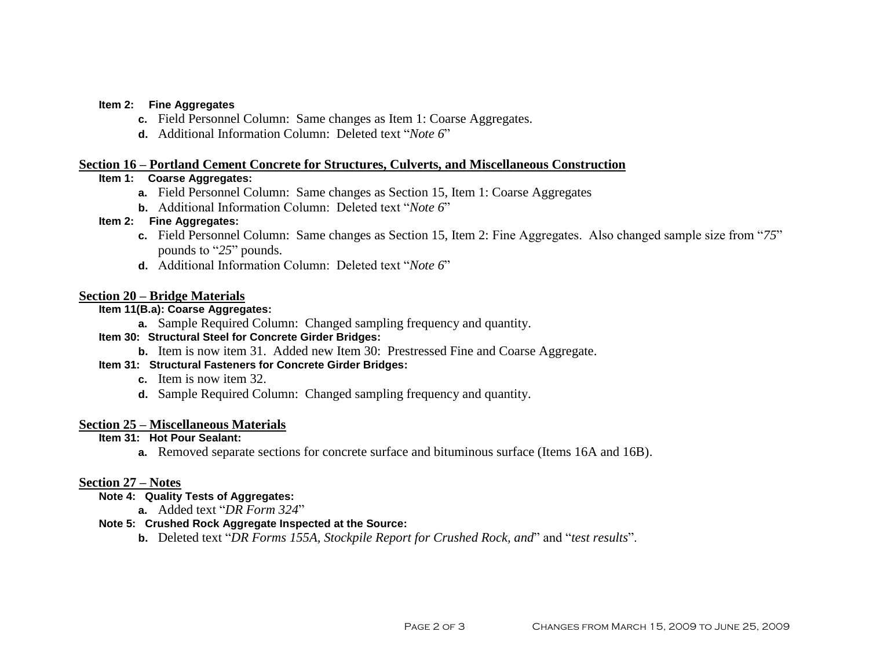#### **Item 2: Fine Aggregates**

- **c.** Field Personnel Column: Same changes as Item 1: Coarse Aggregates.
- **d.** Additional Information Column: Deleted text "*Note 6*"

### **Section 16 – Portland Cement Concrete for Structures, Culverts, and Miscellaneous Construction**

### **Item 1: Coarse Aggregates:**

- **a.** Field Personnel Column: Same changes as Section 15, Item 1: Coarse Aggregates
- **b.** Additional Information Column: Deleted text "*Note 6*"

### **Item 2: Fine Aggregates:**

- **c.** Field Personnel Column: Same changes as Section 15, Item 2: Fine Aggregates. Also changed sample size from "*75*" pounds to "*25*" pounds.
- **d.** Additional Information Column: Deleted text "*Note 6*"

## **Section 20 – Bridge Materials**

## **Item 11(B.a): Coarse Aggregates:**

**a.** Sample Required Column: Changed sampling frequency and quantity.

## **Item 30: Structural Steel for Concrete Girder Bridges:**

**b.** Item is now item 31. Added new Item 30: Prestressed Fine and Coarse Aggregate.

### **Item 31: Structural Fasteners for Concrete Girder Bridges:**

- **c.** Item is now item 32.
- **d.** Sample Required Column: Changed sampling frequency and quantity.

### **Section 25 – Miscellaneous Materials**

### **Item 31: Hot Pour Sealant:**

**a.** Removed separate sections for concrete surface and bituminous surface (Items 16A and 16B).

### **Section 27 – Notes**

### **Note 4: Quality Tests of Aggregates:**

**a.** Added text "*DR Form 324*"

## **Note 5: Crushed Rock Aggregate Inspected at the Source:**

**b.** Deleted text "*DR Forms 155A, Stockpile Report for Crushed Rock, and*" and "*test results*".